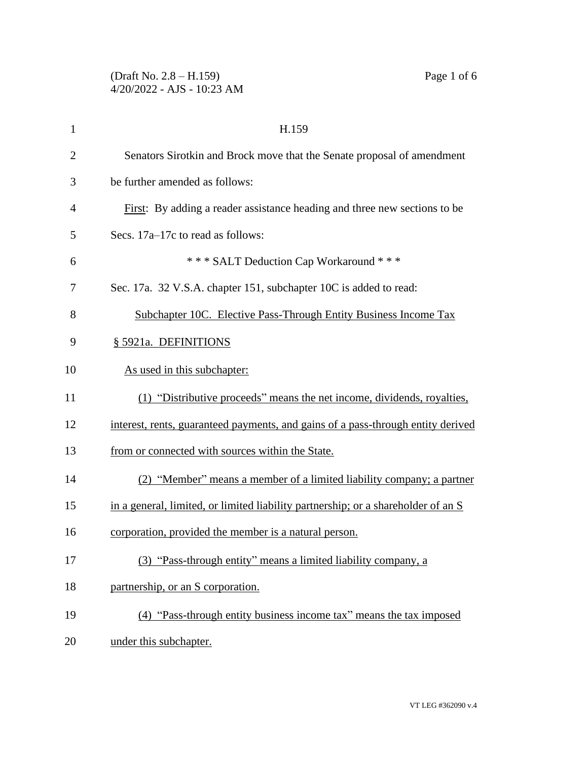| $\mathbf{1}$   | H.159                                                                             |
|----------------|-----------------------------------------------------------------------------------|
| $\overline{2}$ | Senators Sirotkin and Brock move that the Senate proposal of amendment            |
| 3              | be further amended as follows:                                                    |
| $\overline{4}$ | First: By adding a reader assistance heading and three new sections to be         |
| 5              | Secs. 17a–17c to read as follows:                                                 |
| 6              | *** SALT Deduction Cap Workaround ***                                             |
| 7              | Sec. 17a. 32 V.S.A. chapter 151, subchapter 10C is added to read:                 |
| 8              | Subchapter 10C. Elective Pass-Through Entity Business Income Tax                  |
| 9              | § 5921a. DEFINITIONS                                                              |
| 10             | As used in this subchapter:                                                       |
| 11             | (1) "Distributive proceeds" means the net income, dividends, royalties,           |
| 12             | interest, rents, guaranteed payments, and gains of a pass-through entity derived  |
| 13             | from or connected with sources within the State.                                  |
| 14             | (2) "Member" means a member of a limited liability company; a partner             |
| 15             | in a general, limited, or limited liability partnership; or a shareholder of an S |
| 16             | corporation, provided the member is a natural person.                             |
| 17             | (3) "Pass-through entity" means a limited liability company, a                    |
| 18             | partnership, or an S corporation.                                                 |
| 19             | (4) "Pass-through entity business income tax" means the tax imposed               |
| 20             | under this subchapter.                                                            |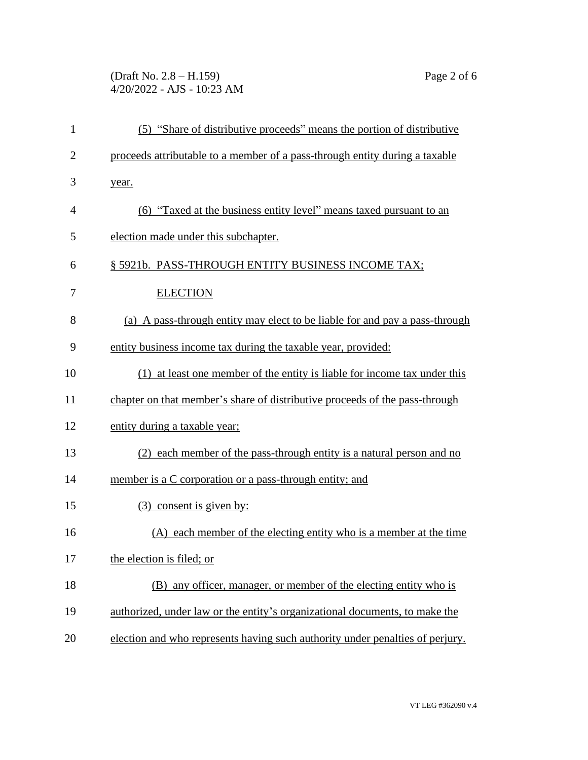## (Draft No. 2.8 – H.159) Page 2 of 6 4/20/2022 - AJS - 10:23 AM

| $\mathbf{1}$   | (5) "Share of distributive proceeds" means the portion of distributive        |
|----------------|-------------------------------------------------------------------------------|
| $\overline{2}$ | proceeds attributable to a member of a pass-through entity during a taxable   |
| 3              | year.                                                                         |
| 4              | (6) "Taxed at the business entity level" means taxed pursuant to an           |
| 5              | election made under this subchapter.                                          |
| 6              | § 5921b. PASS-THROUGH ENTITY BUSINESS INCOME TAX;                             |
| 7              | <b>ELECTION</b>                                                               |
| 8              | (a) A pass-through entity may elect to be liable for and pay a pass-through   |
| 9              | entity business income tax during the taxable year, provided:                 |
| 10             | (1) at least one member of the entity is liable for income tax under this     |
| 11             | chapter on that member's share of distributive proceeds of the pass-through   |
| 12             | entity during a taxable year;                                                 |
| 13             | (2) each member of the pass-through entity is a natural person and no         |
| 14             | member is a C corporation or a pass-through entity; and                       |
| 15             | (3) consent is given by:                                                      |
| 16             | (A) each member of the electing entity who is a member at the time            |
| 17             | the election is filed; or                                                     |
| 18             | (B) any officer, manager, or member of the electing entity who is             |
| 19             | authorized, under law or the entity's organizational documents, to make the   |
| 20             | election and who represents having such authority under penalties of perjury. |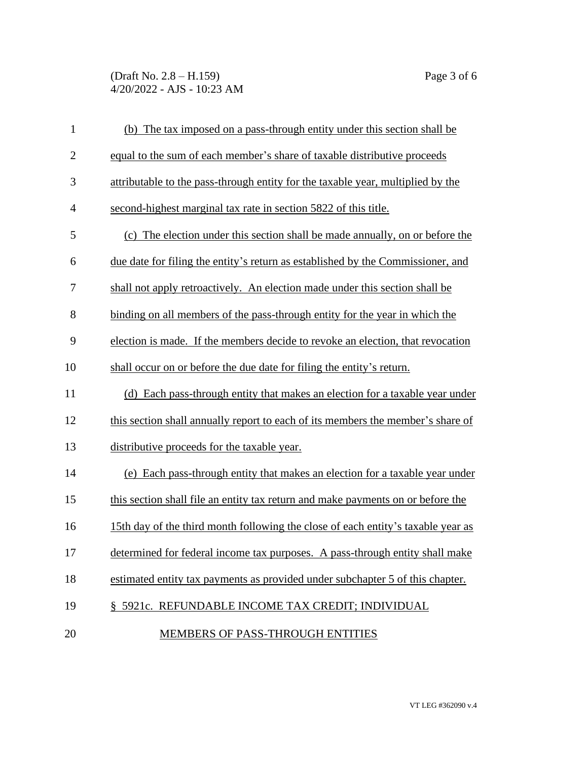(Draft No. 2.8 – H.159) Page 3 of 6 4/20/2022 - AJS - 10:23 AM

| $\mathbf{1}$   | (b) The tax imposed on a pass-through entity under this section shall be         |
|----------------|----------------------------------------------------------------------------------|
| $\overline{2}$ | equal to the sum of each member's share of taxable distributive proceeds         |
| 3              | attributable to the pass-through entity for the taxable year, multiplied by the  |
| $\overline{4}$ | second-highest marginal tax rate in section 5822 of this title.                  |
| 5              | (c) The election under this section shall be made annually, on or before the     |
| 6              | due date for filing the entity's return as established by the Commissioner, and  |
| 7              | shall not apply retroactively. An election made under this section shall be      |
| 8              | binding on all members of the pass-through entity for the year in which the      |
| 9              | election is made. If the members decide to revoke an election, that revocation   |
| 10             | shall occur on or before the due date for filing the entity's return.            |
| 11             | (d) Each pass-through entity that makes an election for a taxable year under     |
| 12             | this section shall annually report to each of its members the member's share of  |
| 13             | distributive proceeds for the taxable year.                                      |
| 14             | (e) Each pass-through entity that makes an election for a taxable year under     |
| 15             | this section shall file an entity tax return and make payments on or before the  |
| 16             | 15th day of the third month following the close of each entity's taxable year as |
| 17             | determined for federal income tax purposes. A pass-through entity shall make     |
| 18             | estimated entity tax payments as provided under subchapter 5 of this chapter.    |
| 19             | § 5921c. REFUNDABLE INCOME TAX CREDIT; INDIVIDUAL                                |
| 20             | <b>MEMBERS OF PASS-THROUGH ENTITIES</b>                                          |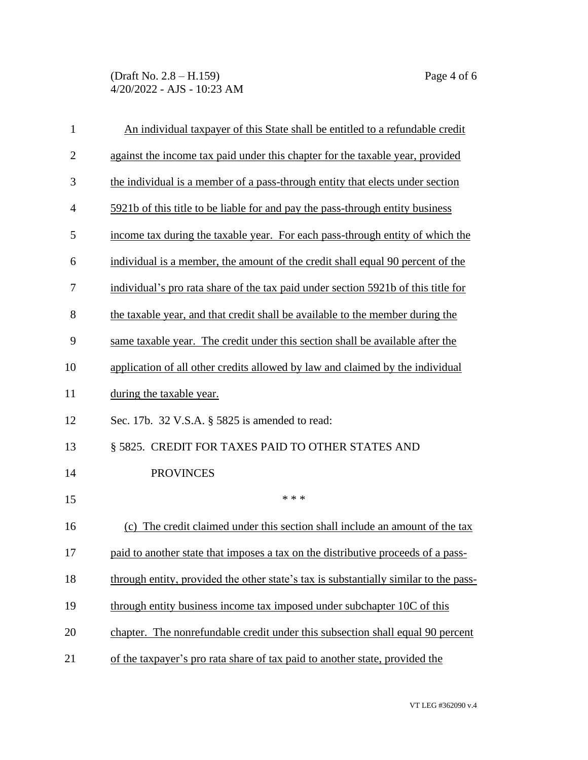(Draft No. 2.8 – H.159) Page 4 of 6 4/20/2022 - AJS - 10:23 AM

| $\mathbf{1}$   | An individual taxpayer of this State shall be entitled to a refundable credit        |
|----------------|--------------------------------------------------------------------------------------|
| $\overline{2}$ | against the income tax paid under this chapter for the taxable year, provided        |
| 3              | the individual is a member of a pass-through entity that elects under section        |
| $\overline{4}$ | 5921b of this title to be liable for and pay the pass-through entity business        |
| 5              | income tax during the taxable year. For each pass-through entity of which the        |
| 6              | individual is a member, the amount of the credit shall equal 90 percent of the       |
| 7              | individual's pro rata share of the tax paid under section 5921b of this title for    |
| 8              | the taxable year, and that credit shall be available to the member during the        |
| 9              | same taxable year. The credit under this section shall be available after the        |
| 10             | application of all other credits allowed by law and claimed by the individual        |
| 11             | during the taxable year.                                                             |
| 12             | Sec. 17b. 32 V.S.A. § 5825 is amended to read:                                       |
| 13             | § 5825. CREDIT FOR TAXES PAID TO OTHER STATES AND                                    |
| 14             | <b>PROVINCES</b>                                                                     |
| 15             | * * *                                                                                |
| 16             | (c) The credit claimed under this section shall include an amount of the tax         |
| 17             | paid to another state that imposes a tax on the distributive proceeds of a pass-     |
| 18             | through entity, provided the other state's tax is substantially similar to the pass- |
| 19             | through entity business income tax imposed under subchapter 10C of this              |
| 20             | chapter. The nonrefundable credit under this subsection shall equal 90 percent       |
| 21             | of the taxpayer's pro rata share of tax paid to another state, provided the          |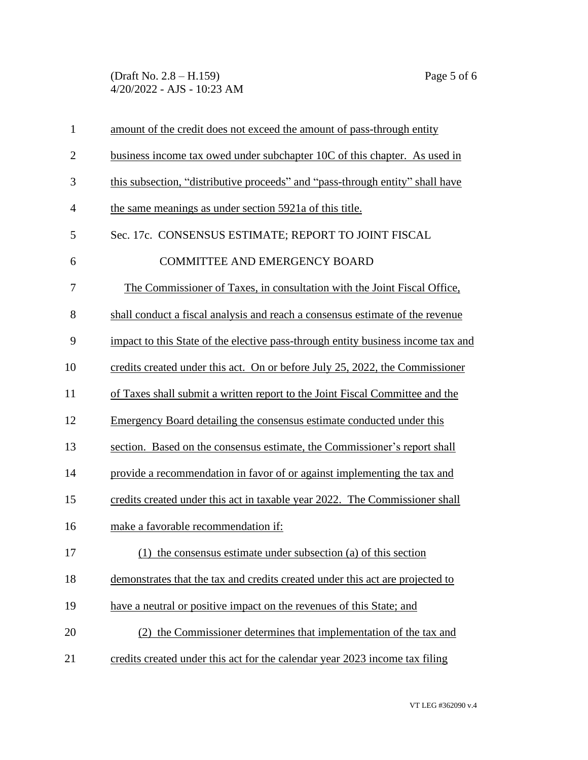(Draft No. 2.8 – H.159) Page 5 of 6 4/20/2022 - AJS - 10:23 AM

| $\mathbf{1}$   | amount of the credit does not exceed the amount of pass-through entity           |
|----------------|----------------------------------------------------------------------------------|
| $\overline{2}$ | business income tax owed under subchapter 10C of this chapter. As used in        |
| 3              | this subsection, "distributive proceeds" and "pass-through entity" shall have    |
| $\overline{4}$ | the same meanings as under section 5921a of this title.                          |
| 5              | Sec. 17c. CONSENSUS ESTIMATE; REPORT TO JOINT FISCAL                             |
| 6              | <b>COMMITTEE AND EMERGENCY BOARD</b>                                             |
| 7              | The Commissioner of Taxes, in consultation with the Joint Fiscal Office,         |
| 8              | shall conduct a fiscal analysis and reach a consensus estimate of the revenue    |
| 9              | impact to this State of the elective pass-through entity business income tax and |
| 10             | credits created under this act. On or before July 25, 2022, the Commissioner     |
| 11             | of Taxes shall submit a written report to the Joint Fiscal Committee and the     |
| 12             | Emergency Board detailing the consensus estimate conducted under this            |
| 13             | section. Based on the consensus estimate, the Commissioner's report shall        |
| 14             | provide a recommendation in favor of or against implementing the tax and         |
| 15             | credits created under this act in taxable year 2022. The Commissioner shall      |
| 16             | make a favorable recommendation if:                                              |
| 17             | (1) the consensus estimate under subsection (a) of this section                  |
| 18             | demonstrates that the tax and credits created under this act are projected to    |
| 19             | have a neutral or positive impact on the revenues of this State; and             |
| 20             | (2) the Commissioner determines that implementation of the tax and               |
| 21             | credits created under this act for the calendar year 2023 income tax filing      |